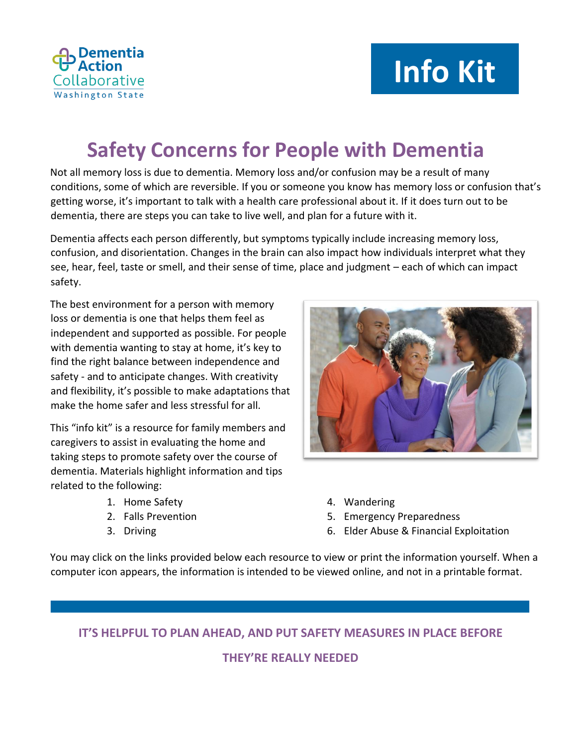

# **Info Kit**

# **Safety Concerns for People with Dementia**

Not all memory loss is due to dementia. Memory loss and/or confusion may be a result of many conditions, some of which are reversible. If you or someone you know has memory loss o[r confusion that's](http://www.alz.org/alzheimers_disease_why_get_checked.asp)  [getting worse,](http://www.alz.org/alzheimers_disease_why_get_checked.asp) it's important to talk with a health care professional about it. If it does turn out to be dementia, there are steps you can take to live well, and plan for a future with it.

Dementia affects each person differently, but symptoms typically include increasing memory loss, confusion, and disorientation. Changes in the brain can also impact how individuals interpret what they see, hear, feel, taste or smell, and their sense of time, place and judgment – each of which can impact safety.

The best environment for a person with memory loss or dementia is one that helps them feel as independent and supported as possible. For people with dementia wanting to stay at home, it's key to find the right balance between independence and safety - and to anticipate changes. With creativity and flexibility, it's possible to make adaptations that make the home safer and less stressful for all.

This "info kit" is a resource for family members and caregivers to assist in evaluating the home and taking steps to promote safety over the course of dementia. Materials highlight information and tips related to the following:

- 1. Home Safety
- 2. Falls Prevention
- 3. Driving



- 4. Wandering
- 5. Emergency Preparedness
- 6. Elder Abuse & Financial Exploitation

You may click on the links provided below each resource to view or print the information yourself. When a computer icon appears, the information is intended to be viewed online, and not in a printable format.

**IT'S HELPFUL TO PLAN AHEAD, AND PUT SAFETY MEASURES IN PLACE BEFORE**

**THEY'RE REALLY NEEDED**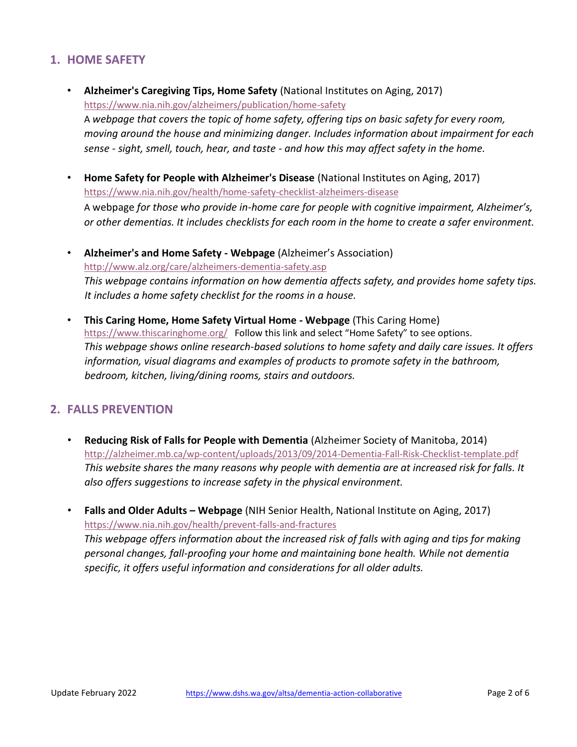## **1. HOME SAFETY**

- **[Alzheimer's Caregiving Tips, Home Safety](file://///dshsfsoly2411c/KORTELM/Data/AD%20Plan/•%09https:/www.nia.nih.gov/alzheimers/publication/home-safety)** (National Institutes on Aging, 2017) <https://www.nia.nih.gov/alzheimers/publication/home-safety> A *webpage that covers the topic of home safety, offering tips on basic safety for every room, moving around the house and minimizing danger. Includes information about impairment for each sense - sight, smell, touch, hear, and taste - and how this may affect safety in the home.*
- **[Home Safety for People with Alzheimer's Disease](https://d2cauhfh6h4x0p.cloudfront.net/s3fs-public/home_safety_for_people_with_alzheimers_disease_2.pdf)** (National Institutes on Aging, 2017) <https://www.nia.nih.gov/health/home-safety-checklist-alzheimers-disease> A webpage *for those who provide in-home care for people with cognitive impairment, Alzheimer's, or other dementias. It includes checklists for each room in the home to create a safer environment.*
- **[Alzheimer's and Home Safety -](http://www.alz.org/care/alzheimers-dementia-safety.asp) [Webpage](http://www.alz.org/care/alzheimers-dementia-safety.asp)** [\(](http://www.alz.org/care/alzheimers-dementia-safety.asp)Alzheimer's Association) <http://www.alz.org/care/alzheimers-dementia-safety.asp> *This webpage contains information on how dementia affects safety, and provides home safety tips. It includes a home safety checklist for the rooms in a house.*
- **[This Caring Home, Home Safety Virtual Home -](http://www.thiscaringhome.org/virtual_home/default.aspx) [Webpage](http://www.thiscaringhome.org/virtual_home/default.aspx)** (This Caring Home) <https://www.thiscaringhome.org/>Follow this link and select "Home Safety" to see options. *This webpage shows online research-based solutions to home safety and daily care issues. It offers information, visual diagrams and examples of products to promote safety in the bathroom, bedroom, kitchen, living/dining rooms, stairs and outdoors.*

#### **2. FALLS PREVENTION**

- **[Reducing Risk of Falls for People with Dementia](http://alzheimer.mb.ca/wp-content/uploads/2013/09/2014-Dementia-Fall-Risk-Checklist-template.pdf)** (Alzheimer Society of Manitoba, 2014) <http://alzheimer.mb.ca/wp-content/uploads/2013/09/2014-Dementia-Fall-Risk-Checklist-template.pdf> *This website shares the many reasons why people with dementia are at increased risk for falls. It also offers suggestions to increase safety in the physical environment.*
- **[Falls and Older Adults](http://nihseniorhealth.gov/falls/aboutfalls/01.html) [–](http://nihseniorhealth.gov/falls/aboutfalls/01.html) [Webpage](http://nihseniorhealth.gov/falls/aboutfalls/01.html)** (NIH Senior Health, National Institute on Aging, 2017) <https://www.nia.nih.gov/health/prevent-falls-and-fractures>

*This webpage offers information about the increased risk of falls with aging and tips for making personal changes, fall-proofing your home and maintaining bone health. While not dementia specific, it offers useful information and considerations for all older adults.*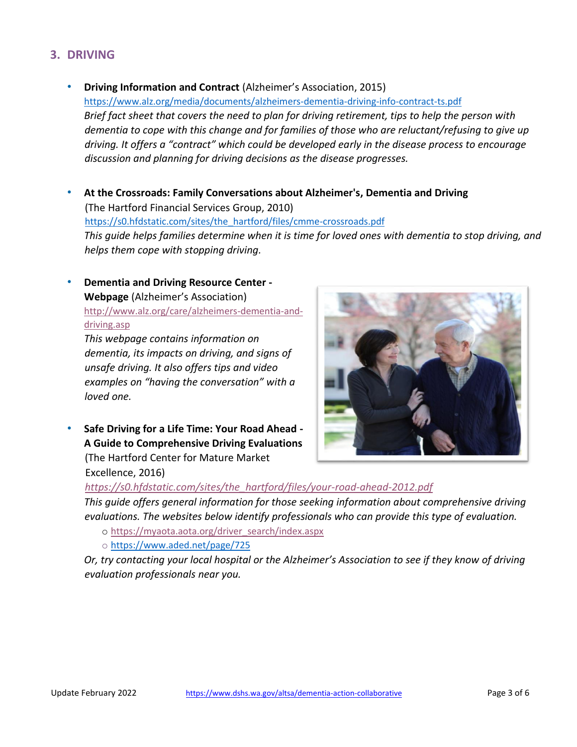# **3. DRIVING**

- **[Driving Information and Contract](http://www.alz.org/national/documents/topicsheet_driving.pdf)** (Alzheimer's Association, 2015) <https://www.alz.org/media/documents/alzheimers-dementia-driving-info-contract-ts.pdf> *Brief fact sheet that covers the need to plan for driving retirement, tips to help the person with dementia to cope with this change and for families of those who are reluctant/refusing to give up driving. It offers a "contract" which could be developed early in the disease process to encourage discussion and planning for driving decisions as the disease progresses.*
- **[At the Crossroads: Family Conversations about Alzheimer's, Dementia and Driving](http://hartfordauto.thehartford.com/UI/Downloads/Crossroads.pdf)** (The Hartford Financial Services Group, 2010) [https://s0.hfdstatic.com/sites/the\\_hartford/files/cmme-crossroads.pdf](https://s0.hfdstatic.com/sites/the_hartford/files/cmme-crossroads.pdf) *This guide helps families determine when it is time for loved ones with dementia to stop driving, and helps them cope with stopping driving.*
- **[Dementia and Driving Resource Center -](http://www.alz.org/care/alzheimers-dementia-and-driving.asp) [Webpage](http://www.alz.org/care/alzheimers-dementia-and-driving.asp)** (Alzheimer's Association) [http://www.alz.org/care/alzheimers-dementia-and](http://www.alz.org/care/alzheimers-dementia-and-driving.asp)[driving.asp](http://www.alz.org/care/alzheimers-dementia-and-driving.asp)

*This webpage contains information on dementia, its impacts on driving, and signs of unsafe driving. It also offers tips and video examples on "having the conversation" with a loved one.* 

• **[Safe Driving for a Life Time: Your Road Ahead -](https://www.thehartford.com/sites/the_hartford/files/your-road-ahead-2012.pdf) [A Guide to Comprehensive Driving Evaluations](https://www.thehartford.com/sites/the_hartford/files/your-road-ahead-2012.pdf)** (The Hartford Center for Mature Market Excellence, 2016)



#### *[https://s0.hfdstatic.com/sites/the\\_hartford/files/your-road-ahead-2012.pdf](https://s0.hfdstatic.com/sites/the_hartford/files/your-road-ahead-2012.pdf)*

*This guide offers general information for those seeking information about comprehensive driving evaluations. The websites below identify professionals who can provide this type of evaluation.* 

- o [https://myaota.aota.org/driver\\_search/index.aspx](https://myaota.aota.org/driver_search/index.aspx)
- o <https://www.aded.net/page/725>

*Or, try contacting your local hospital or the Alzheimer's Association to see if they know of driving evaluation professionals near you.*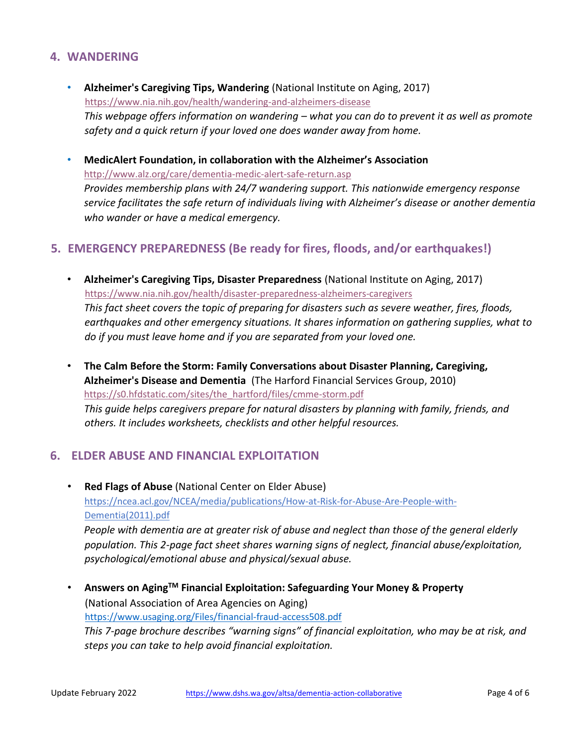#### **4. WANDERING**

- **[Alzheimer's Caregiving Tips, Wandering](https://d2cauhfh6h4x0p.cloudfront.net/s3fs-public/caregivingtips_wandering-final_7-16-12.pdf)** (National Institute on Aging, 2017) <https://www.nia.nih.gov/health/wandering-and-alzheimers-disease> *This webpage offers information on wandering – what you can do to prevent it as well as promote safety and a quick return if your loved one does wander away from home.*
- **[MedicAlert](http://www.alz.org/care/dementia-medic-alert-safe-return.asp) Foundation, in collaboration with the [Alzheimer's](http://www.alz.org/care/dementia-medic-alert-safe-return.asp) Association** <http://www.alz.org/care/dementia-medic-alert-safe-return.asp> *Provides membership plans with 24/7 wandering support. This nationwide emergency response service facilitates the safe return of individuals living with Alzheimer's disease or another dementia who wander or have a medical emergency.*

## **5. EMERGENCY PREPAREDNESS (Be ready for fires, floods, and/or earthquakes!)**

- **[Alzheimer's Caregiving Tips, Disaster Preparedness](https://www.nia.nih.gov/alzheimers/publication/disaster-preparedness)** (National Institute on Aging, 2017) <https://www.nia.nih.gov/health/disaster-preparedness-alzheimers-caregivers> *This fact sheet covers the topic of preparing for disasters such as severe weather, fires, floods, earthquakes and other emergency situations. It shares information on gathering supplies, what to do if you must leave home and if you are separated from your loved one.*
- **[The Calm Before the Storm: Family Conversations about Disaster Planning, Caregiving,](http://hartfordauto.thehartford.com/UI/Downloads/CalmBeforeStormBro.pdf)  [Alzheimer's Disease and Dementia](http://hartfordauto.thehartford.com/UI/Downloads/CalmBeforeStormBro.pdf)** (The Harford Financial Services Group, 2010) [https://s0.hfdstatic.com/sites/the\\_hartford/files/cmme-storm.pdf](https://s0.hfdstatic.com/sites/the_hartford/files/cmme-storm.pdf) *This guide helps caregivers prepare for natural disasters by planning with family, friends, and others. It includes worksheets, checklists and other helpful resources.*

#### **6. ELDER ABUSE AND FINANCIAL EXPLOITATION**

• **[Red Flags of Abuse](https://ncea.acl.gov/resources/docs/Red-Flags-Elder-Abuse-NCEA-2015.pdf)** (National Center on Elder Abuse) [https://ncea.acl.gov/NCEA/media/publications/How-at-Risk-for-Abuse-Are-People-with-](https://ncea.acl.gov/NCEA/media/publications/How-at-Risk-for-Abuse-Are-People-with-Dementia-(2011).pdf)[Dementia\(2011\).pdf](https://ncea.acl.gov/NCEA/media/publications/How-at-Risk-for-Abuse-Are-People-with-Dementia-(2011).pdf) *People with dementia are at greater risk of abuse and neglect than those of the general elderly population. This 2-page fact sheet shares warning signs of neglect, financial abuse/exploitation, psychological/emotional abuse and physical/sexual abuse.* 

• **[Answers on Aging](http://www.n4a.org/Files/financial-fraud-access508.pdf)[TM](http://www.n4a.org/Files/financial-fraud-access508.pdf) [Financial Exploitation: Safeguarding Your Money & Property](http://www.n4a.org/Files/financial-fraud-access508.pdf)**  (National Association of Area Agencies on Aging) <https://www.usaging.org/Files/financial-fraud-access508.pdf> *This 7-page brochure describes "warning signs" of financial exploitation, who may be at risk, and steps you can take to help avoid financial exploitation.*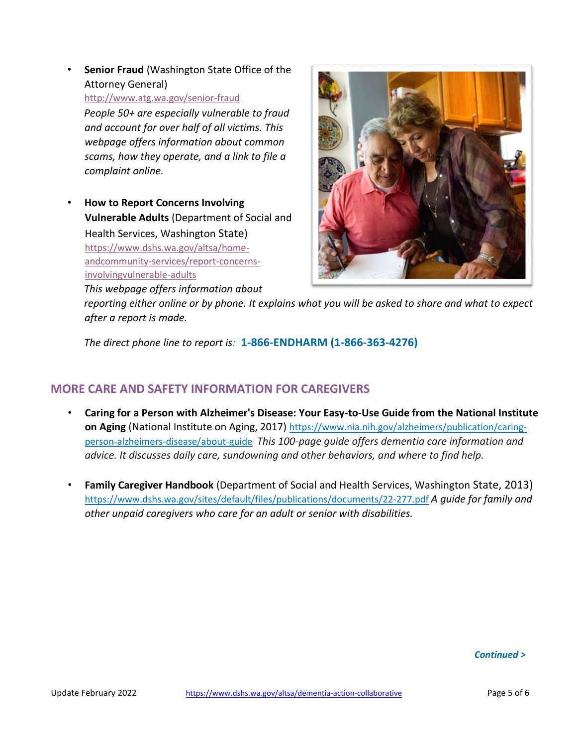**[Senior Fraud](http://www.atg.wa.gov/senior-fraud)** [\(](http://www.atg.wa.gov/senior-fraud)Washington State Office of the Attorney General) <http://www.atg.wa.gov/senior-fraud> *People 50+ are especially vulnerable to fraud and account for over half of all victims. This* 

*webpage offers information about common scams, how they operate, and a link to file a complaint online.* 

• **[How to Report Concerns Involving](https://www.dshs.wa.gov/altsa/home-and-community-services/report-concerns-involving-vulnerable-adults)  [Vulnerable Adults](https://www.dshs.wa.gov/altsa/home-and-community-services/report-concerns-involving-vulnerable-adults)** (Department of Social and Health Services, Washington State) [https://www.dshs.wa.gov/altsa/home](https://www.dshs.wa.gov/altsa/home-and-community-services/report-concerns-involving-vulnerable-adults)[andcommunity-services/report-concerns](https://www.dshs.wa.gov/altsa/home-and-community-services/report-concerns-involving-vulnerable-adults)[involvingvulnerable-adults](https://www.dshs.wa.gov/altsa/home-and-community-services/report-concerns-involving-vulnerable-adults) *This webpage offers information about* 



*reporting either online or by phone. It explains what you will be asked to share and what to expect after a report is made.* 

*The direct phone line to report is:* **1-866-ENDHARM (1-866-363-4276)**

# **MORE CARE AND SAFETY INFORMATION FOR CAREGIVERS**

- **[Caring for a Person with Alzheimer's Disease: Your Easy-to-Use Guide from the National Institute](https://www.nia.nih.gov/alzheimers/publication/caring-person-alzheimers-disease/about-guide)  [on Aging](https://www.nia.nih.gov/alzheimers/publication/caring-person-alzheimers-disease/about-guide)** (National Institute on Aging, 2017) [https://www.nia.nih.gov/alzheimers/publication/caring](https://www.nia.nih.gov/alzheimers/publication/caring-person-alzheimers-disease/about-guide)[person-alzheimers-disease/about-guide](https://www.nia.nih.gov/alzheimers/publication/caring-person-alzheimers-disease/about-guide) *This 100-page guide offers dementia care information and advice. It discusses daily care, sundowning and other behaviors, and where to find help.*
- **[Family Caregiver Handbook](https://www.dshs.wa.gov/sites/default/files/SESA/publications/documents/22-277.pdf)** [\(](https://www.dshs.wa.gov/sites/default/files/SESA/publications/documents/22-277.pdf)Department of Social and Health Services, Washington State, 2013) <https://www.dshs.wa.gov/sites/default/files/publications/documents/22-277.pdf> *[A](https://www.dshs.wa.gov/sites/default/files/publications/documents/22-277.pdf) guide for family and other unpaid caregivers who care for an adult or senior with disabilities.*